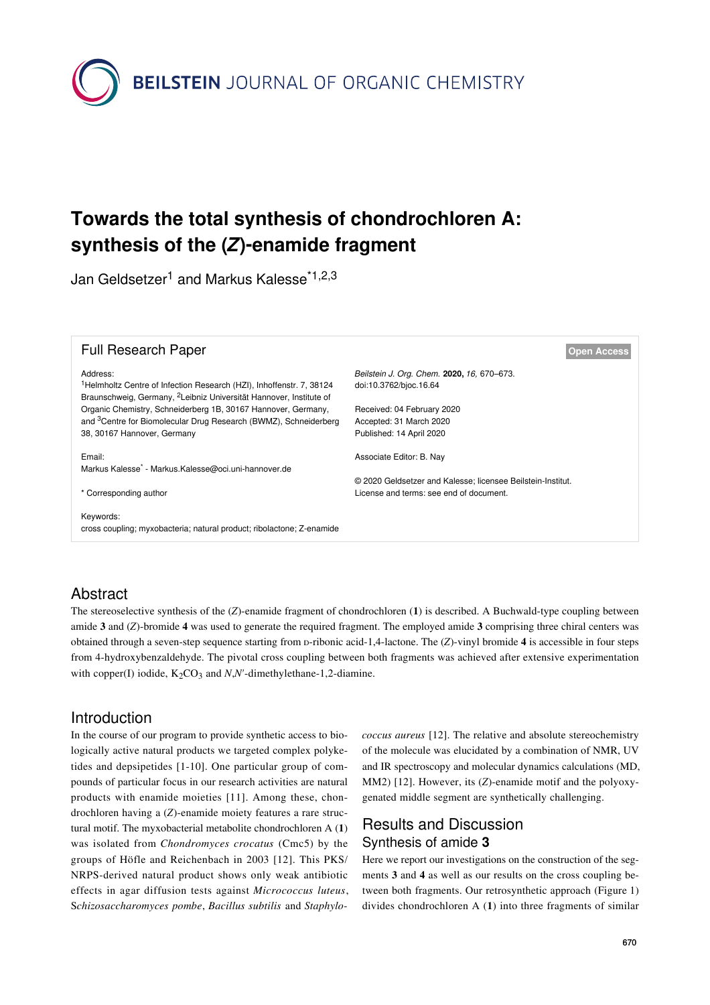

# **Towards the total synthesis of chondrochloren A: synthesis of the (***Z***)-enamide fragment**

Jan Geldsetzer<sup>1</sup> and Markus Kalesse<sup>\*1,2,3</sup>



### Abstract

The stereoselective synthesis of the (*Z*)-enamide fragment of chondrochloren (**1**) is described. A Buchwald-type coupling between amide **3** and (*Z*)-bromide **4** was used to generate the required fragment. The employed amide **3** comprising three chiral centers was obtained through a seven-step sequence starting from ᴅ-ribonic acid-1,4-lactone. The (*Z*)-vinyl bromide **4** is accessible in four steps from 4-hydroxybenzaldehyde. The pivotal cross coupling between both fragments was achieved after extensive experimentation with copper(I) iodide,  $K_2CO_3$  and *N,N'*-dimethylethane-1,2-diamine.

### Introduction

In the course of our program to provide synthetic access to biologically active natural products we targeted complex polyketides and depsipetides [\[1-10\].](#page-3-0) One particular group of compounds of particular focus in our research activities are natural products with enamide moieties [\[11\]](#page-3-1). Among these, chondrochloren having a (*Z*)-enamide moiety features a rare structural motif. The myxobacterial metabolite chondrochloren A (**1**) was isolated from *Chondromyces crocatus* (Cmc5) by the groups of Höfle and Reichenbach in 2003 [\[12\]](#page-3-2). This PKS/ NRPS-derived natural product shows only weak antibiotic effects in agar diffusion tests against *Micrococcus luteus*, S*chizosaccharomyces pombe*, *Bacillus subtilis* and *Staphylo-* *coccus aureus* [\[12\].](#page-3-2) The relative and absolute stereochemistry of the molecule was elucidated by a combination of NMR, UV and IR spectroscopy and molecular dynamics calculations (MD, MM2) [\[12\].](#page-3-2) However, its (*Z*)-enamide motif and the polyoxygenated middle segment are synthetically challenging.

# Results and Discussion Synthesis of amide **3**

Here we report our investigations on the construction of the segments **3** and **4** as well as our results on the cross coupling between both fragments. Our retrosynthetic approach [\(Figure 1](#page-1-0)) divides chondrochloren A (**1**) into three fragments of similar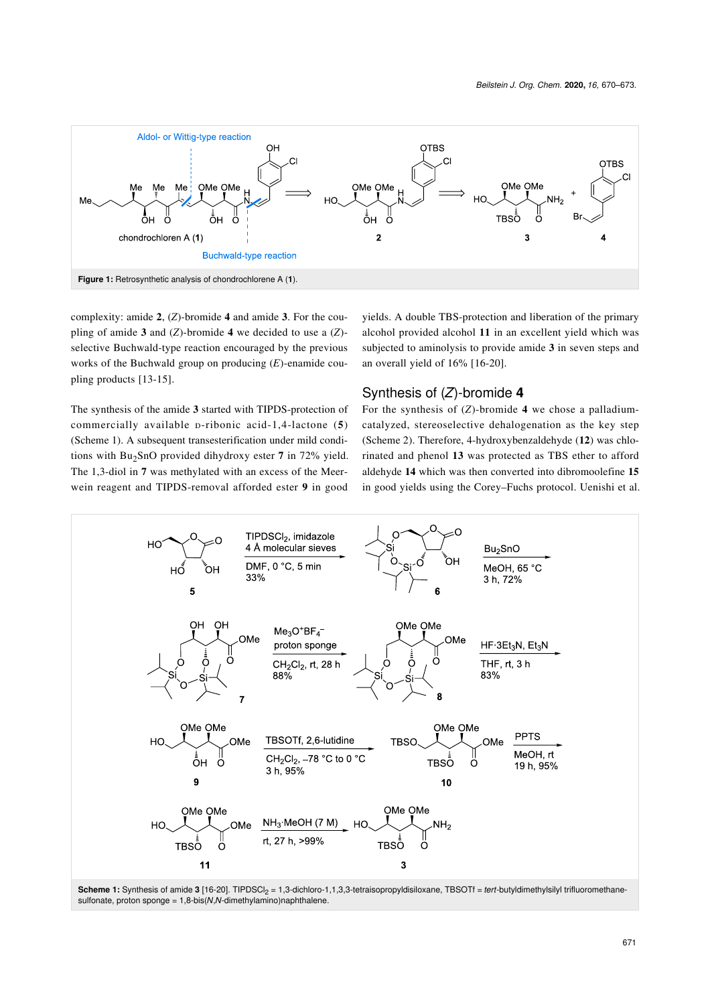<span id="page-1-0"></span>

complexity: amide **2**, (*Z*)-bromide **4** and amide **3**. For the coupling of amide **3** and (*Z*)-bromide **4** we decided to use a (*Z*) selective Buchwald-type reaction encouraged by the previous works of the Buchwald group on producing (*E*)-enamide coupling products [\[13-15\].](#page-3-4)

The synthesis of the amide **3** started with TIPDS-protection of commercially available ᴅ-ribonic acid-1,4-lactone (**5**) ([Scheme 1](#page-1-1)). A subsequent transesterification under mild conditions with Bu<sub>2</sub>SnO provided dihydroxy ester 7 in 72% yield. The 1,3-diol in **7** was methylated with an excess of the Meerwein reagent and TIPDS-removal afforded ester **9** in good

yields. A double TBS-protection and liberation of the primary alcohol provided alcohol **11** in an excellent yield which was subjected to aminolysis to provide amide **3** in seven steps and an overall yield of 16% [\[16-20\]](#page-3-3).

#### Synthesis of (*Z*)-bromide **4**

For the synthesis of (*Z*)-bromide **4** we chose a palladiumcatalyzed, stereoselective dehalogenation as the key step ([Scheme 2](#page-2-0)). Therefore, 4-hydroxybenzaldehyde (**12**) was chlorinated and phenol **13** was protected as TBS ether to afford aldehyde **14** which was then converted into dibromoolefine **15** in good yields using the Corey–Fuchs protocol. Uenishi et al.

<span id="page-1-1"></span>

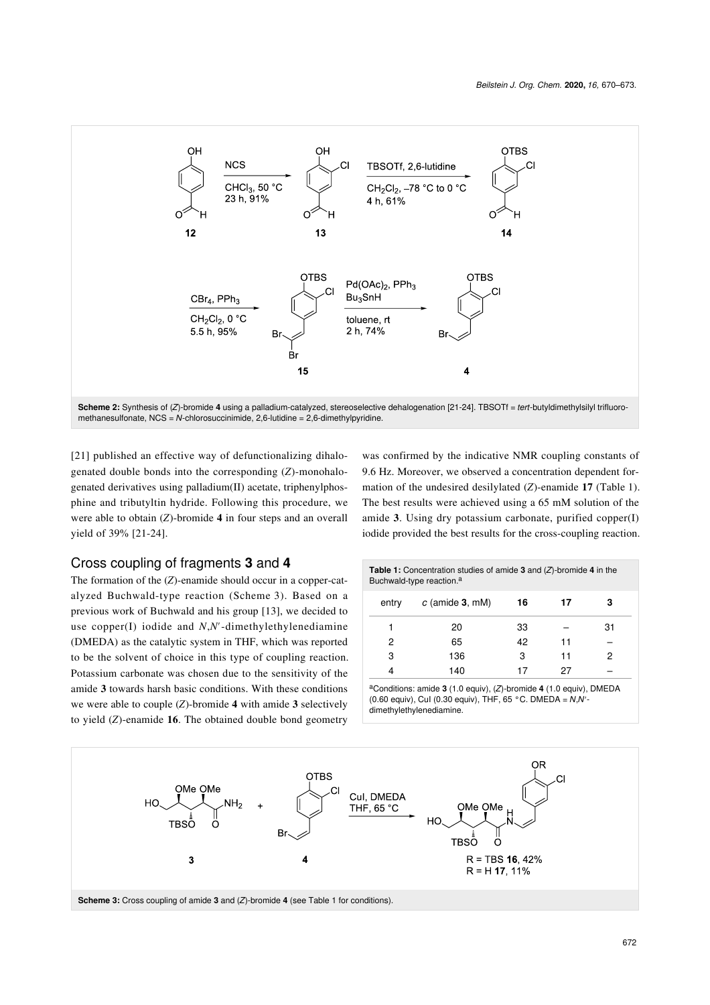<span id="page-2-0"></span>

**Scheme 2:** Synthesis of (*Z*)-bromide **4** using a palladium-catalyzed, stereoselective dehalogenation [\[21-24\].](#page-3-5) TBSOTf = *tert*-butyldimethylsilyl trifluoromethanesulfonate, NCS = *N*-chlorosuccinimide, 2,6-lutidine = 2,6-dimethylpyridine.

[\[21\]](#page-3-5) published an effective way of defunctionalizing dihalogenated double bonds into the corresponding (*Z*)-monohalogenated derivatives using palladium(II) acetate, triphenylphosphine and tributyltin hydride. Following this procedure, we were able to obtain (*Z*)-bromide **4** in four steps and an overall yield of 39% [\[21-24\]](#page-3-5).

#### was confirmed by the indicative NMR coupling constants of 9.6 Hz. Moreover, we observed a concentration dependent formation of the undesired desilylated (*Z*)-enamide **17** ([Table 1](#page-2-1)). The best results were achieved using a 65 mM solution of the amide **3**. Using dry potassium carbonate, purified copper(I) iodide provided the best results for the cross-coupling reaction.

#### Cross coupling of fragments **3** and **4**

The formation of the (*Z*)-enamide should occur in a copper-catalyzed Buchwald-type reaction ([Scheme 3](#page-2-2)). Based on a previous work of Buchwald and his group [\[13\],](#page-3-4) we decided to use copper(I) iodide and *N*,*N′*-dimethylethylenediamine (DMEDA) as the catalytic system in THF, which was reported to be the solvent of choice in this type of coupling reaction. Potassium carbonate was chosen due to the sensitivity of the amide **3** towards harsh basic conditions. With these conditions we were able to couple (*Z*)-bromide **4** with amide **3** selectively to yield (*Z*)-enamide **16**. The obtained double bond geometry

<span id="page-2-1"></span>

| <b>Table 1:</b> Concentration studies of amide 3 and $(Z)$ -bromide 4 in the<br>Buchwald-type reaction. <sup>a</sup> |                   |    |    |    |
|----------------------------------------------------------------------------------------------------------------------|-------------------|----|----|----|
| entry                                                                                                                | $c$ (amide 3, mM) | 16 | 17 | з  |
|                                                                                                                      | 20                | 33 |    | 31 |
| 2                                                                                                                    | 65                | 42 | 11 |    |
| 3                                                                                                                    | 136               | 3  | 11 | 2  |
|                                                                                                                      | 140               | 17 | 27 |    |

<sup>a</sup>Conditions: amide **3** (1.0 equiv), (*Z*)-bromide **4** (1.0 equiv), DMEDA (0.60 equiv), CuI (0.30 equiv), THF, 65 °C. DMEDA = *N*,*N*′ dimethylethylenediamine.

<span id="page-2-2"></span>